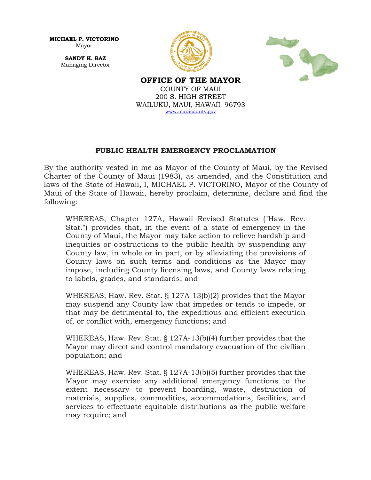**MICHAEL P. VICTORINO** Mayor

> **SANDY K. BAZ** Managing Director





**OFFICE OF THE MAYOR** COUNTY OF MAUI 200 S. HIGH STREET WAILUKU, MAUI, HAWAII 96793 www.mauicounty.gov

## **PUBLIC HEALTH EMERGENCY PROCLAMATION**

By the authority vested in me as Mayor of the County of Maui, by the Revised Charter of the County of Maui (1983), as amended, and the Constitution and laws of the State of Hawaii, I, MICHAEL P. VICTORINO, Mayor of the County of Maui of the State of Hawaii, hereby proclaim, determine, declare and find the following:

WHEREAS, Chapter 127A, Hawaii Revised Statutes ("Haw. Rev. Stat.") provides that, in the event of a state of emergency in the County of Maui, the Mayor may take action to relieve hardship and inequities or obstructions to the public health by suspending any County law, in whole or in part, or by alleviating the provisions of County laws on such terms and conditions as the Mayor may impose, including County licensing laws, and County laws relating to labels, grades, and standards; and

WHEREAS, Haw. Rev. Stat. § 127A-13(b)(2) provides that the Mayor may suspend any County law that impedes or tends to impede, or that may be detrimental to, the expeditious and efficient execution of, or conflict with, emergency functions; and

WHEREAS, Haw. Rev. Stat. § 127A-13(b)(4) further provides that the Mayor may direct and control mandatory evacuation of the civilian population; and

WHEREAS, Haw. Rev. Stat. § 127A-13(b)(5) further provides that the Mayor may exercise any additional emergency functions to the extent necessary to prevent hoarding, waste, destruction of materials, supplies, commodities, accommodations, facilities, and services to effectuate equitable distributions as the public welfare may require; and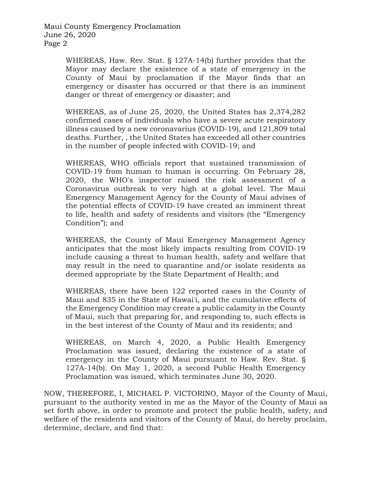Maui County Emergency Proclamation June 26, 2020 Page 2

> WHEREAS, Haw. Rev. Stat. § 127A-14(b) further provides that the Mayor may declare the existence of a state of emergency in the County of Maui by proclamation if the Mayor finds that an emergency or disaster has occurred or that there is an imminent danger or threat of emergency or disaster; and

> WHEREAS, as of June 25, 2020, the United States has 2,374,282 confirmed cases of individuals who have a severe acute respiratory illness caused by a new coronavarius (COVID-19), and 121,809 total deaths. Further, , the United States has exceeded all other countries in the number of people infected with COVID-19; and

> WHEREAS, WHO officials report that sustained transmission of COVID-19 from human to human is occurring. On February 28, 2020, the WHO's inspector raised the risk assessment of a Coronavirus outbreak to very high at a global level. The Maui Emergency Management Agency for the County of Maui advises of the potential effects of COVID-19 have created an imminent threat to life, health and safety of residents and visitors (the "Emergency Condition"); and

> WHEREAS, the County of Maui Emergency Management Agency anticipates that the most likely impacts resulting from COVID-19 include causing a threat to human health, safety and welfare that may result in the need to quarantine and/or isolate residents as deemed appropriate by the State Department of Health; and

> WHEREAS, there have been 122 reported cases in the County of Maui and 835 in the State of Hawai'i, and the cumulative effects of the Emergency Condition may create a public calamity in the County of Maui, such that preparing for, and responding to, such effects is in the best interest of the County of Maui and its residents; and

> WHEREAS, on March 4, 2020, a Public Health Emergency Proclamation was issued, declaring the existence of a state of emergency in the County of Maui pursuant to Haw. Rev. Stat. § 127A-14(b). On May 1, 2020, a second Public Health Emergency Proclamation was issued, which terminates June 30, 2020.

NOW, THEREFORE, I, MICHAEL P. VICTORINO, Mayor of the County of Maui, pursuant to the authority vested in me as the Mayor of the County of Maui as set forth above, in order to promote and protect the public health, safety, and welfare of the residents and visitors of the County of Maui, do hereby proclaim, determine, declare, and find that: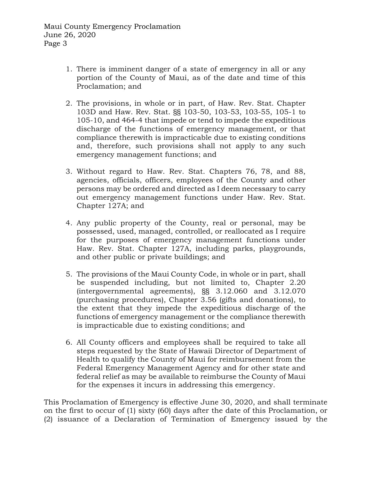- 1. There is imminent danger of a state of emergency in all or any portion of the County of Maui, as of the date and time of this Proclamation; and
- 2. The provisions, in whole or in part, of Haw. Rev. Stat. Chapter 103D and Haw. Rev. Stat. §§ 103-50, 103-53, 103-55, 105-1 to 105-10, and 464-4 that impede or tend to impede the expeditious discharge of the functions of emergency management, or that compliance therewith is impracticable due to existing conditions and, therefore, such provisions shall not apply to any such emergency management functions; and
- 3. Without regard to Haw. Rev. Stat. Chapters 76, 78, and 88, agencies, officials, officers, employees of the County and other persons may be ordered and directed as I deem necessary to carry out emergency management functions under Haw. Rev. Stat. Chapter 127A; and
- 4. Any public property of the County, real or personal, may be possessed, used, managed, controlled, or reallocated as I require for the purposes of emergency management functions under Haw. Rev. Stat. Chapter 127A, including parks, playgrounds, and other public or private buildings; and
- 5. The provisions of the Maui County Code, in whole or in part, shall be suspended including, but not limited to, Chapter 2.20 (intergovernmental agreements), §§ 3.12.060 and 3.12.070 (purchasing procedures), Chapter 3.56 (gifts and donations), to the extent that they impede the expeditious discharge of the functions of emergency management or the compliance therewith is impracticable due to existing conditions; and
- 6. All County officers and employees shall be required to take all steps requested by the State of Hawaii Director of Department of Health to qualify the County of Maui for reimbursement from the Federal Emergency Management Agency and for other state and federal relief as may be available to reimburse the County of Maui for the expenses it incurs in addressing this emergency.

This Proclamation of Emergency is effective June 30, 2020, and shall terminate on the first to occur of (1) sixty (60) days after the date of this Proclamation, or (2) issuance of a Declaration of Termination of Emergency issued by the